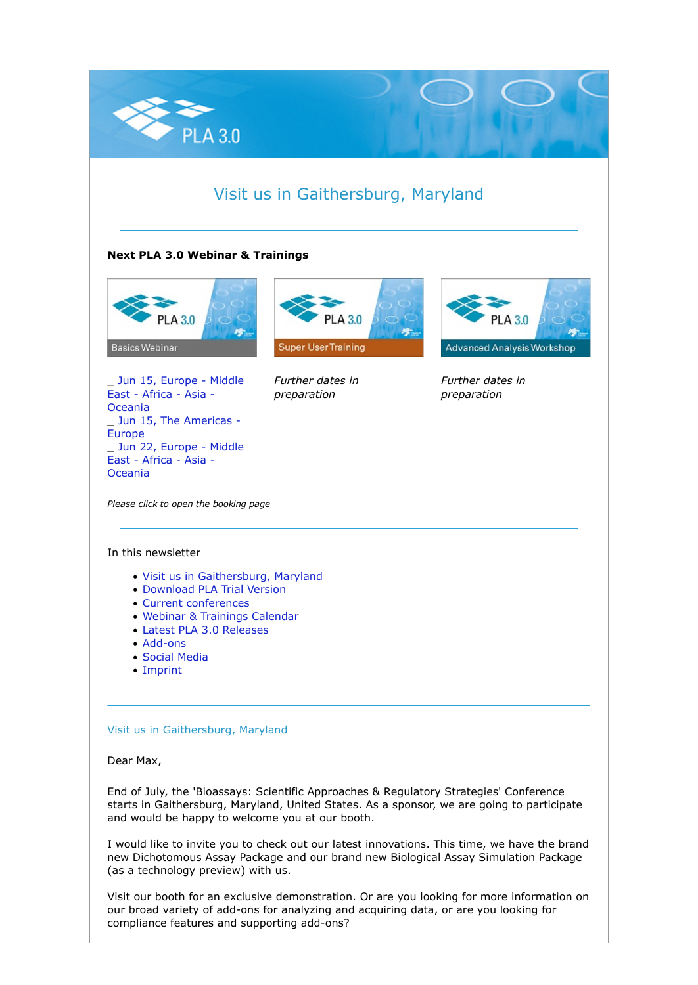

# Visit us in Gaithersburg, Maryland

## **Next PLA 3.0 Webinar & Trainings**



\_ [Jun 15, Europe - Middle](https://nl.stegmannsystems.com/c/104/5441453/0/0/0/361955/ba065dcb20.html) [East - Africa - Asia -](https://nl.stegmannsystems.com/c/104/5441453/0/0/0/361955/ba065dcb20.html) [Oceania](https://nl.stegmannsystems.com/c/104/5441453/0/0/0/361955/ba065dcb20.html) Jun 15, The Americas -[Europe](https://nl.stegmannsystems.com/c/104/5441453/0/0/0/361923/d324763290.html) \_ [Jun 22, Europe - Middle](https://nl.stegmannsystems.com/c/104/5441453/0/0/0/361981/844817b7d5.html) [East - Africa - Asia -](https://nl.stegmannsystems.com/c/104/5441453/0/0/0/361981/844817b7d5.html) [Oceania](https://nl.stegmannsystems.com/c/104/5441453/0/0/0/361981/844817b7d5.html)



*Further dates in preparation*



*Further dates in preparation*

*Please click to open the booking page*

#### In this newsletter

- [Visit us in Gaithersburg, Maryland](https://nl.stegmannsystems.com/mailing/104/5441453/0/fe8046983b/index.html#titelthema)
- [Download PLA Trial Version](https://nl.stegmannsystems.com/mailing/104/5441453/0/fe8046983b/index.html#trialversion)
- [Current conferences](https://nl.stegmannsystems.com/mailing/104/5441453/0/fe8046983b/index.html#meetusat)
- [Webinar & Trainings Calendar](https://nl.stegmannsystems.com/mailing/104/5441453/0/fe8046983b/index.html#trainingscalender)
- [Latest PLA 3.0 Releases](https://nl.stegmannsystems.com/mailing/104/5441453/0/fe8046983b/index.html#latestreleases)
- [Add-ons](https://nl.stegmannsystems.com/mailing/104/5441453/0/fe8046983b/index.html#addons)
- [Social Media](https://nl.stegmannsystems.com/mailing/104/5441453/0/fe8046983b/index.html#socialmedia)
- [Imprint](https://nl.stegmannsystems.com/mailing/104/5441453/0/fe8046983b/index.html#imprint)

## Visit us in Gaithersburg, Maryland

Dear Max,

End of July, the 'Bioassays: Scientific Approaches & Regulatory Strategies' Conference starts in Gaithersburg, Maryland, United States. As a sponsor, we are going to participate and would be happy to welcome you at our booth.

I would like to invite you to check out our latest innovations. This time, we have the brand new Dichotomous Assay Package and our brand new Biological Assay Simulation Package (as a technology preview) with us.

Visit our booth for an exclusive demonstration. Or are you looking for more information on our broad variety of add-ons for analyzing and acquiring data, or are you looking for compliance features and supporting add-ons?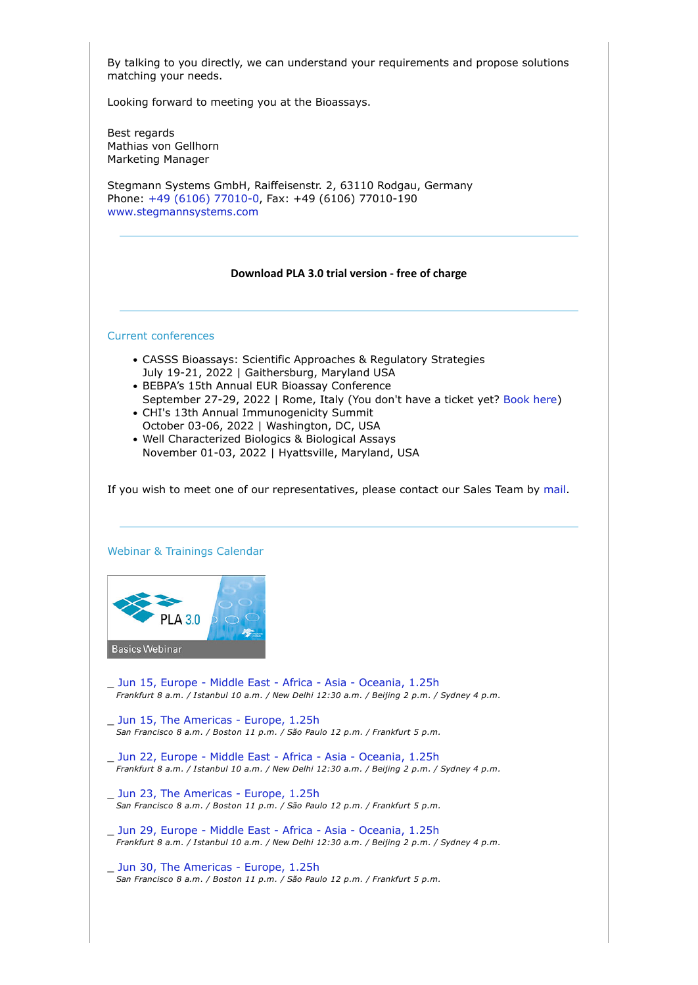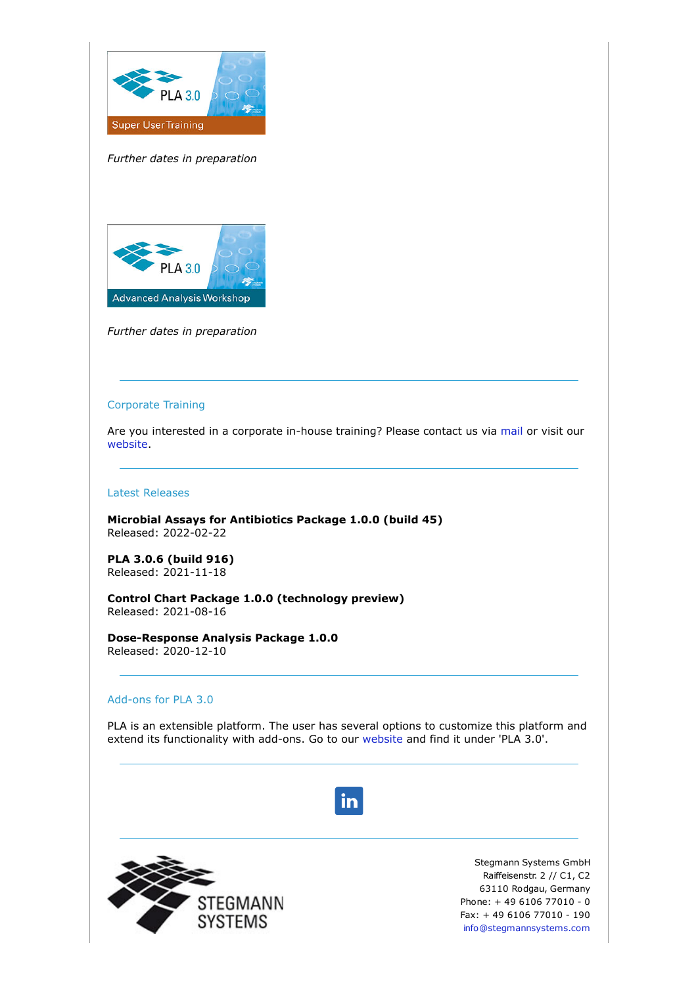

*Further dates in preparation*



*Further dates in preparation*

#### Corporate Training

Are you interested in a corporate in-house training? Please contact us via [mail](mailto:sales@bioassay.de) or visit our [website.](https://nl.stegmannsystems.com/c/104/5441453/0/0/0/361885/cbc20a4ac2.html)

#### Latest Releases

**Microbial Assays for Antibiotics Package 1.0.0 (build 45)** Released: 2022-02-22

**PLA 3.0.6 (build 916)** Released: 2021-11-18

**Control Chart Package 1.0.0 (technology preview)** Released: 2021-08-16

**Dose-Response Analysis Package 1.0.0** Released: 2020-12-10

# Add-ons for PLA 3.0

PLA is an extensible platform. The user has several options to customize this platform and extend its functionality with add-ons. Go to our [website a](https://nl.stegmannsystems.com/c/104/5441453/0/0/0/361881/3be89f3bc6.html)nd find it under 'PLA 3.0'.

in



Stegmann Systems GmbH Raiffeisenstr. 2 // C1, C2 63110 Rodgau, Germany Phone: + 49 6106 77010 - 0 Fax: + 49 6106 77010 - 190 [info@stegmannsystems.com](mailto:info@stegmannsystems.com)